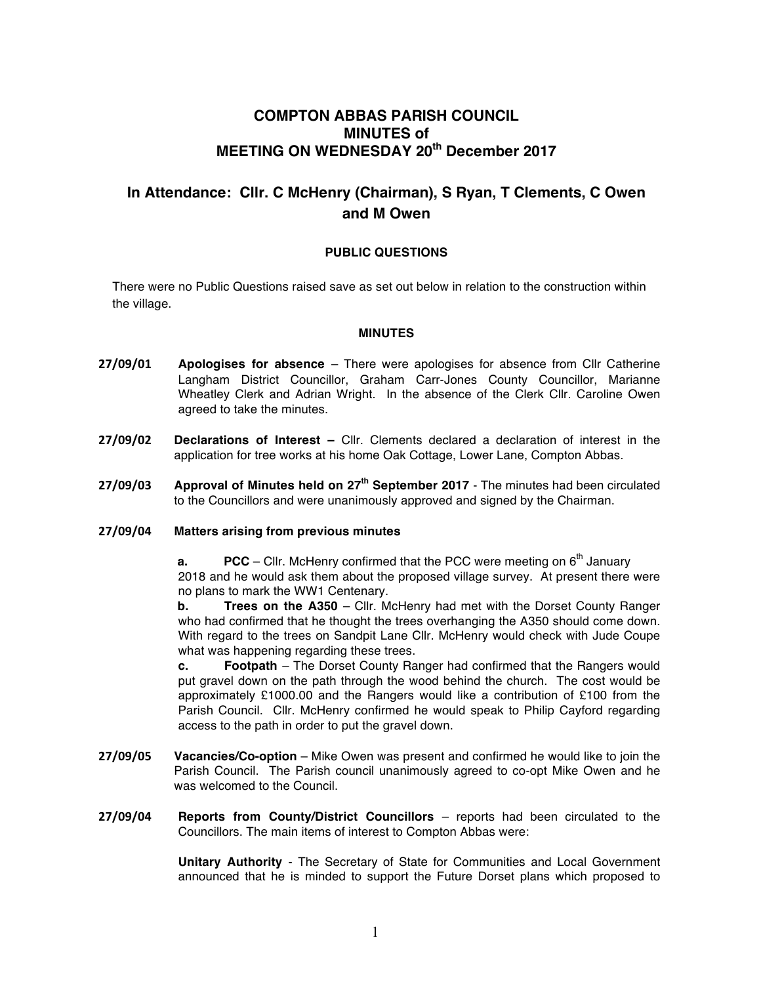## **COMPTON ABBAS PARISH COUNCIL MINUTES of MEETING ON WEDNESDAY 20th December 2017**

# **In Attendance: Cllr. C McHenry (Chairman), S Ryan, T Clements, C Owen and M Owen**

### **PUBLIC QUESTIONS**

There were no Public Questions raised save as set out below in relation to the construction within the village.

#### **MINUTES**

- **27/09/01 Apologises for absence**  There were apologises for absence from Cllr Catherine Langham District Councillor, Graham Carr-Jones County Councillor, Marianne Wheatley Clerk and Adrian Wright. In the absence of the Clerk Cllr. Caroline Owen agreed to take the minutes.
- **27/09/02 Declarations of Interest –** Cllr. Clements declared a declaration of interest in the application for tree works at his home Oak Cottage, Lower Lane, Compton Abbas.
- **27/09/03 Approval of Minutes held on 27th September 2017**  The minutes had been circulated to the Councillors and were unanimously approved and signed by the Chairman.

#### **27/09/04 Matters arising from previous minutes**

**a. PCC** – Cllr. McHenry confirmed that the PCC were meeting on  $6<sup>th</sup>$  January 2018 and he would ask them about the proposed village survey. At present there were no plans to mark the WW1 Centenary.

**b. Trees on the A350** – Cllr. McHenry had met with the Dorset County Ranger who had confirmed that he thought the trees overhanging the A350 should come down. With regard to the trees on Sandpit Lane Cllr. McHenry would check with Jude Coupe what was happening regarding these trees.

**c. Footpath** – The Dorset County Ranger had confirmed that the Rangers would put gravel down on the path through the wood behind the church. The cost would be approximately £1000.00 and the Rangers would like a contribution of £100 from the Parish Council. Cllr. McHenry confirmed he would speak to Philip Cayford regarding access to the path in order to put the gravel down.

- **27/09/05 Vacancies/Co-option** Mike Owen was present and confirmed he would like to join the Parish Council. The Parish council unanimously agreed to co-opt Mike Owen and he was welcomed to the Council.
- **27/09/04 Reports from County/District Councillors**  reports had been circulated to the Councillors. The main items of interest to Compton Abbas were:

**Unitary Authority** - The Secretary of State for Communities and Local Government announced that he is minded to support the Future Dorset plans which proposed to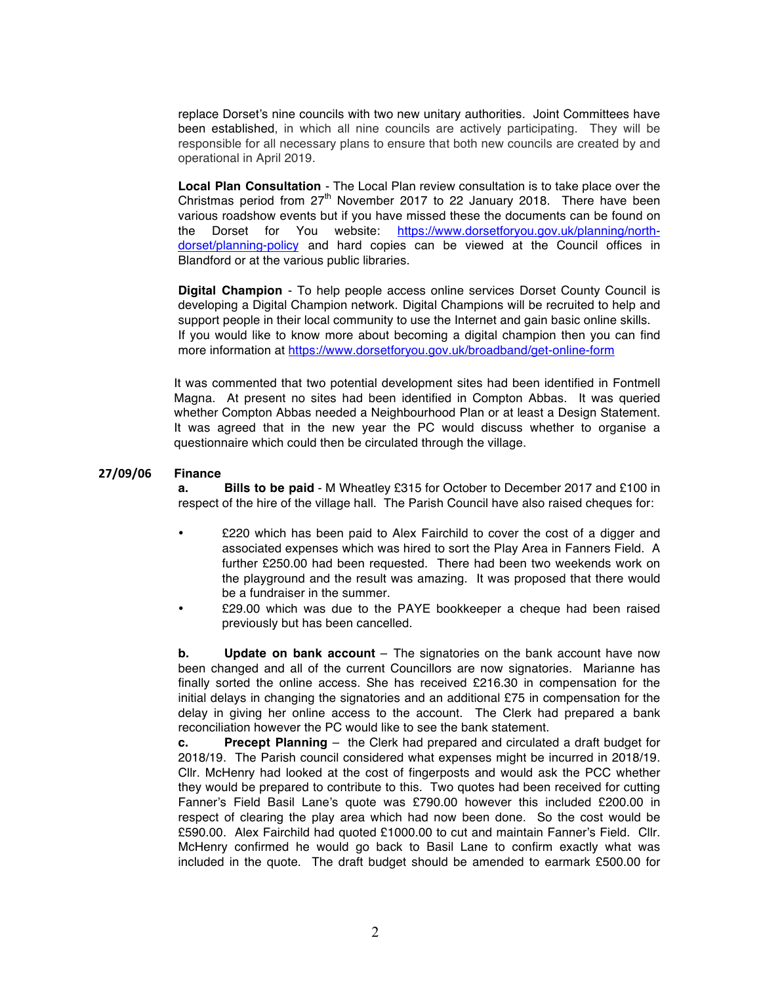replace Dorset's nine councils with two new unitary authorities. Joint Committees have been established, in which all nine councils are actively participating. They will be responsible for all necessary plans to ensure that both new councils are created by and operational in April 2019.

**Local Plan Consultation** - The Local Plan review consultation is to take place over the Christmas period from  $27<sup>th</sup>$  November 2017 to 22 January 2018. There have been various roadshow events but if you have missed these the documents can be found on the Dorset for You website: https://www.dorsetforyou.gov.uk/planning/northdorset/planning-policy and hard copies can be viewed at the Council offices in Blandford or at the various public libraries.

**Digital Champion** - To help people access online services Dorset County Council is developing a Digital Champion network. Digital Champions will be recruited to help and support people in their local community to use the Internet and gain basic online skills. If you would like to know more about becoming a digital champion then you can find more information at https://www.dorsetforyou.gov.uk/broadband/get-online-form

It was commented that two potential development sites had been identified in Fontmell Magna. At present no sites had been identified in Compton Abbas. It was queried whether Compton Abbas needed a Neighbourhood Plan or at least a Design Statement. It was agreed that in the new year the PC would discuss whether to organise a questionnaire which could then be circulated through the village.

#### **27/09/06 Finance**

**a. Bills to be paid** - M Wheatley £315 for October to December 2017 and £100 in respect of the hire of the village hall. The Parish Council have also raised cheques for:

- £220 which has been paid to Alex Fairchild to cover the cost of a digger and associated expenses which was hired to sort the Play Area in Fanners Field. A further £250.00 had been requested. There had been two weekends work on the playground and the result was amazing. It was proposed that there would be a fundraiser in the summer.
- £29.00 which was due to the PAYE bookkeeper a cheque had been raised previously but has been cancelled.

**b. Update on bank account** – The signatories on the bank account have now been changed and all of the current Councillors are now signatories. Marianne has finally sorted the online access. She has received £216.30 in compensation for the initial delays in changing the signatories and an additional £75 in compensation for the delay in giving her online access to the account. The Clerk had prepared a bank reconciliation however the PC would like to see the bank statement.

**c. Precept Planning** – the Clerk had prepared and circulated a draft budget for 2018/19. The Parish council considered what expenses might be incurred in 2018/19. Cllr. McHenry had looked at the cost of fingerposts and would ask the PCC whether they would be prepared to contribute to this. Two quotes had been received for cutting Fanner's Field Basil Lane's quote was £790.00 however this included £200.00 in respect of clearing the play area which had now been done. So the cost would be £590.00. Alex Fairchild had quoted £1000.00 to cut and maintain Fanner's Field. Cllr. McHenry confirmed he would go back to Basil Lane to confirm exactly what was included in the quote. The draft budget should be amended to earmark £500.00 for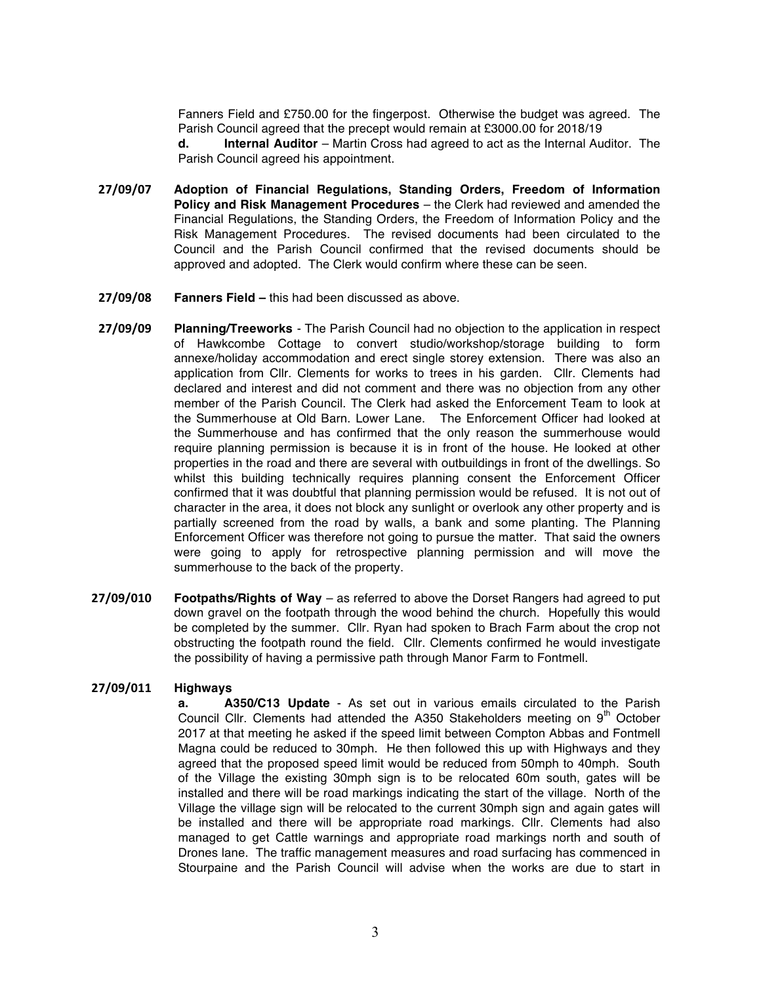Fanners Field and £750.00 for the fingerpost. Otherwise the budget was agreed. The Parish Council agreed that the precept would remain at £3000.00 for 2018/19

**d. Internal Auditor** – Martin Cross had agreed to act as the Internal Auditor. The Parish Council agreed his appointment.

- **27/09/07 Adoption of Financial Regulations, Standing Orders, Freedom of Information Policy and Risk Management Procedures** – the Clerk had reviewed and amended the Financial Regulations, the Standing Orders, the Freedom of Information Policy and the Risk Management Procedures. The revised documents had been circulated to the Council and the Parish Council confirmed that the revised documents should be approved and adopted. The Clerk would confirm where these can be seen.
- **27/09/08 Fanners Field –** this had been discussed as above.
- **27/09/09 Planning/Treeworks** The Parish Council had no objection to the application in respect of Hawkcombe Cottage to convert studio/workshop/storage building to form annexe/holiday accommodation and erect single storey extension. There was also an application from Cllr. Clements for works to trees in his garden. Cllr. Clements had declared and interest and did not comment and there was no objection from any other member of the Parish Council. The Clerk had asked the Enforcement Team to look at the Summerhouse at Old Barn. Lower Lane. The Enforcement Officer had looked at the Summerhouse and has confirmed that the only reason the summerhouse would require planning permission is because it is in front of the house. He looked at other properties in the road and there are several with outbuildings in front of the dwellings. So whilst this building technically requires planning consent the Enforcement Officer confirmed that it was doubtful that planning permission would be refused. It is not out of character in the area, it does not block any sunlight or overlook any other property and is partially screened from the road by walls, a bank and some planting. The Planning Enforcement Officer was therefore not going to pursue the matter. That said the owners were going to apply for retrospective planning permission and will move the summerhouse to the back of the property.
- **27/09/010 Footpaths/Rights of Way**  as referred to above the Dorset Rangers had agreed to put down gravel on the footpath through the wood behind the church. Hopefully this would be completed by the summer. Cllr. Ryan had spoken to Brach Farm about the crop not obstructing the footpath round the field. Cllr. Clements confirmed he would investigate the possibility of having a permissive path through Manor Farm to Fontmell.

#### **27/09/011 Highways**

**a. A350/C13 Update** - As set out in various emails circulated to the Parish Council Cllr. Clements had attended the A350 Stakeholders meeting on  $9<sup>th</sup>$  October 2017 at that meeting he asked if the speed limit between Compton Abbas and Fontmell Magna could be reduced to 30mph. He then followed this up with Highways and they agreed that the proposed speed limit would be reduced from 50mph to 40mph. South of the Village the existing 30mph sign is to be relocated 60m south, gates will be installed and there will be road markings indicating the start of the village. North of the Village the village sign will be relocated to the current 30mph sign and again gates will be installed and there will be appropriate road markings. Cllr. Clements had also managed to get Cattle warnings and appropriate road markings north and south of Drones lane. The traffic management measures and road surfacing has commenced in Stourpaine and the Parish Council will advise when the works are due to start in